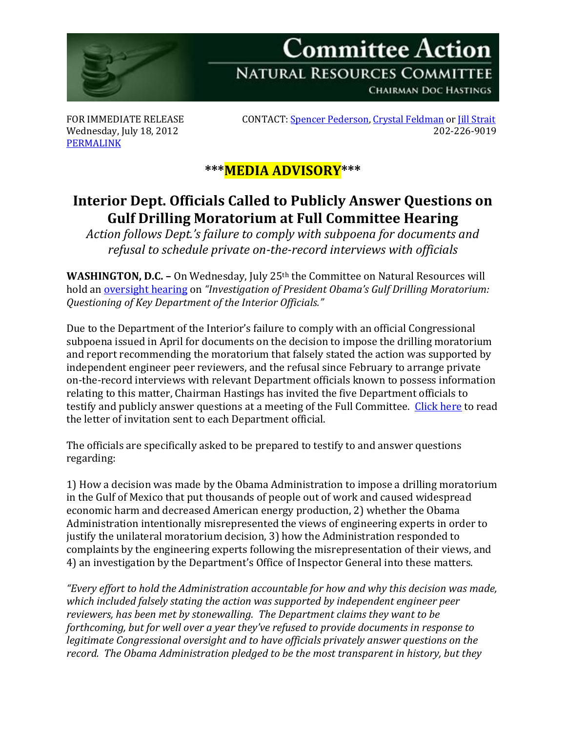

**CHAIRMAN DOC HASTINGS** 

[PERMALINK](http://naturalresources.house.gov/News/DocumentSingle.aspx?DocumentID=303435)

FOR IMMEDIATE RELEASE CONTACT[: Spencer Pederson,](mailto:spencer.pederson@mail.house.gov) [Crystal Feldman](mailto:crystal.feldman@mail.house.gov) o[r Jill Strait](mailto:jill.strait@mail.house.gov) Wednesday, July 18, 2012 202-226-9019

## **\*\*\*MEDIA ADVISORY\*\*\***

## **Interior Dept. Officials Called to Publicly Answer Questions on Gulf Drilling Moratorium at Full Committee Hearing**

*Action follows Dept.'s failure to comply with subpoena for documents and refusal to schedule private on-the-record interviews with officials*

**WASHINGTON, D.C. -** On Wednesday, July 25<sup>th</sup> the Committee on Natural Resources will hold a[n oversight hearing](http://naturalresources.house.gov/Calendar/EventSingle.aspx?EventID=303429) on *"Investigation of President Obama's Gulf Drilling Moratorium: Questioning of Key Department of the Interior Officials."*

Due to the Department of the Interior's failure to comply with an official Congressional subpoena issued in April for documents on the decision to impose the drilling moratorium and report recommending the moratorium that falsely stated the action was supported by independent engineer peer reviewers, and the refusal since February to arrange private on-the-record interviews with relevant Department officials known to possess information relating to this matter, Chairman Hastings has invited the five Department officials to testify and publicly answer questions at a meeting of the Full Committee. [Click here](http://naturalresources.house.gov/UploadedFiles/InvitationLtrToDOIOfficials07-18-12.pdf) to read the letter of invitation sent to each Department official.

The officials are specifically asked to be prepared to testify to and answer questions regarding:

1) How a decision was made by the Obama Administration to impose a drilling moratorium in the Gulf of Mexico that put thousands of people out of work and caused widespread economic harm and decreased American energy production, 2) whether the Obama Administration intentionally misrepresented the views of engineering experts in order to justify the unilateral moratorium decision, 3) how the Administration responded to complaints by the engineering experts following the misrepresentation of their views, and 4) an investigation by the Department's Office of Inspector General into these matters.

*"Every effort to hold the Administration accountable for how and why this decision was made, which included falsely stating the action was supported by independent engineer peer reviewers, has been met by stonewalling. The Department claims they want to be forthcoming, but for well over a year they've refused to provide documents in response to legitimate Congressional oversight and to have officials privately answer questions on the record. The Obama Administration pledged to be the most transparent in history, but they*